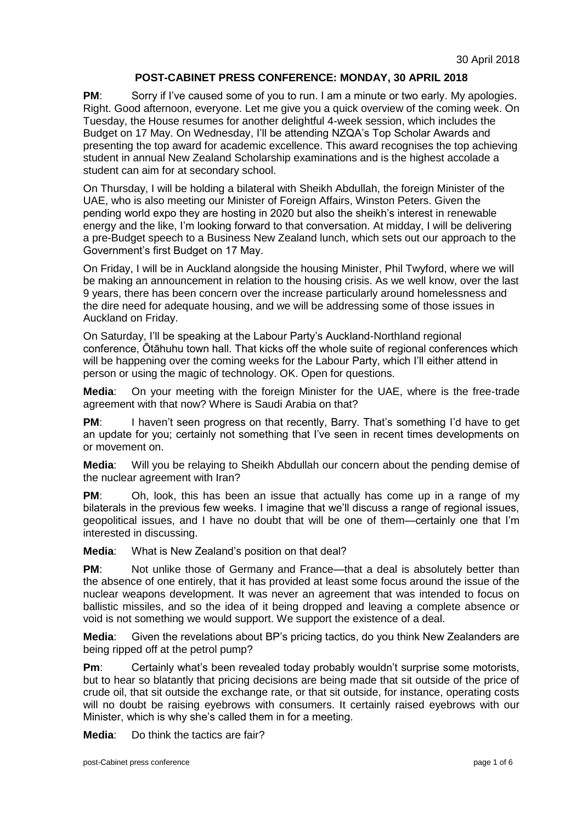## **POST-CABINET PRESS CONFERENCE: MONDAY, 30 APRIL 2018**

**PM**: Sorry if I've caused some of you to run. I am a minute or two early. My apologies. Right. Good afternoon, everyone. Let me give you a quick overview of the coming week. On Tuesday, the House resumes for another delightful 4-week session, which includes the Budget on 17 May. On Wednesday, I'll be attending NZQA's Top Scholar Awards and presenting the top award for academic excellence. This award recognises the top achieving student in annual New Zealand Scholarship examinations and is the highest accolade a student can aim for at secondary school.

On Thursday, I will be holding a bilateral with Sheikh Abdullah, the foreign Minister of the UAE, who is also meeting our Minister of Foreign Affairs, Winston Peters. Given the pending world expo they are hosting in 2020 but also the sheikh's interest in renewable energy and the like, I'm looking forward to that conversation. At midday, I will be delivering a pre-Budget speech to a Business New Zealand lunch, which sets out our approach to the Government's first Budget on 17 May.

On Friday, I will be in Auckland alongside the housing Minister, Phil Twyford, where we will be making an announcement in relation to the housing crisis. As we well know, over the last 9 years, there has been concern over the increase particularly around homelessness and the dire need for adequate housing, and we will be addressing some of those issues in Auckland on Friday.

On Saturday, I'll be speaking at the Labour Party's Auckland-Northland regional conference, Ōtāhuhu town hall. That kicks off the whole suite of regional conferences which will be happening over the coming weeks for the Labour Party, which I'll either attend in person or using the magic of technology. OK. Open for questions.

**Media**: On your meeting with the foreign Minister for the UAE, where is the free-trade agreement with that now? Where is Saudi Arabia on that?

**PM:** I haven't seen progress on that recently, Barry. That's something I'd have to get an update for you; certainly not something that I've seen in recent times developments on or movement on.

**Media**: Will you be relaying to Sheikh Abdullah our concern about the pending demise of the nuclear agreement with Iran?

**PM:** Oh, look, this has been an issue that actually has come up in a range of my bilaterals in the previous few weeks. I imagine that we'll discuss a range of regional issues, geopolitical issues, and I have no doubt that will be one of them—certainly one that I'm interested in discussing.

**Media**: What is New Zealand's position on that deal?

**PM:** Not unlike those of Germany and France—that a deal is absolutely better than the absence of one entirely, that it has provided at least some focus around the issue of the nuclear weapons development. It was never an agreement that was intended to focus on ballistic missiles, and so the idea of it being dropped and leaving a complete absence or void is not something we would support. We support the existence of a deal.

**Media**: Given the revelations about BP's pricing tactics, do you think New Zealanders are being ripped off at the petrol pump?

**Pm:** Certainly what's been revealed today probably wouldn't surprise some motorists, but to hear so blatantly that pricing decisions are being made that sit outside of the price of crude oil, that sit outside the exchange rate, or that sit outside, for instance, operating costs will no doubt be raising eyebrows with consumers. It certainly raised eyebrows with our Minister, which is why she's called them in for a meeting.

**Media**: Do think the tactics are fair?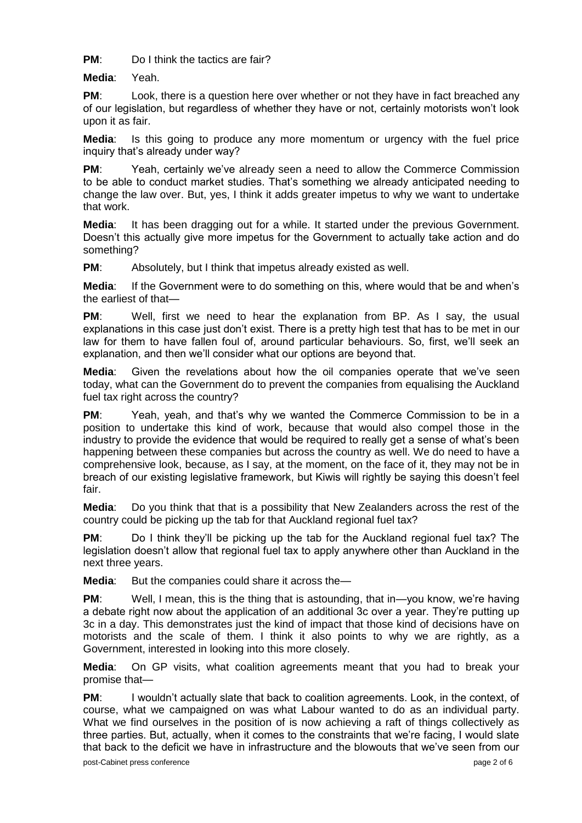**PM**: Do I think the tactics are fair?

**Media**: Yeah.

**PM:** Look, there is a question here over whether or not they have in fact breached any of our legislation, but regardless of whether they have or not, certainly motorists won't look upon it as fair.

**Media**: Is this going to produce any more momentum or urgency with the fuel price inquiry that's already under way?

**PM:** Yeah, certainly we've already seen a need to allow the Commerce Commission to be able to conduct market studies. That's something we already anticipated needing to change the law over. But, yes, I think it adds greater impetus to why we want to undertake that work.

**Media**: It has been dragging out for a while. It started under the previous Government. Doesn't this actually give more impetus for the Government to actually take action and do something?

**PM:** Absolutely, but I think that impetus already existed as well.

**Media**: If the Government were to do something on this, where would that be and when's the earliest of that—

**PM:** Well, first we need to hear the explanation from BP. As I say, the usual explanations in this case just don't exist. There is a pretty high test that has to be met in our law for them to have fallen foul of, around particular behaviours. So, first, we'll seek an explanation, and then we'll consider what our options are beyond that.

**Media**: Given the revelations about how the oil companies operate that we've seen today, what can the Government do to prevent the companies from equalising the Auckland fuel tax right across the country?

**PM**: Yeah, yeah, and that's why we wanted the Commerce Commission to be in a position to undertake this kind of work, because that would also compel those in the industry to provide the evidence that would be required to really get a sense of what's been happening between these companies but across the country as well. We do need to have a comprehensive look, because, as I say, at the moment, on the face of it, they may not be in breach of our existing legislative framework, but Kiwis will rightly be saying this doesn't feel fair.

**Media**: Do you think that that is a possibility that New Zealanders across the rest of the country could be picking up the tab for that Auckland regional fuel tax?

**PM**: Do I think they'll be picking up the tab for the Auckland regional fuel tax? The legislation doesn't allow that regional fuel tax to apply anywhere other than Auckland in the next three years.

**Media:** But the companies could share it across the—

**PM:** Well, I mean, this is the thing that is astounding, that in—you know, we're having a debate right now about the application of an additional 3c over a year. They're putting up 3c in a day. This demonstrates just the kind of impact that those kind of decisions have on motorists and the scale of them. I think it also points to why we are rightly, as a Government, interested in looking into this more closely.

**Media**: On GP visits, what coalition agreements meant that you had to break your promise that—

**PM:** I wouldn't actually slate that back to coalition agreements. Look, in the context, of course, what we campaigned on was what Labour wanted to do as an individual party. What we find ourselves in the position of is now achieving a raft of things collectively as three parties. But, actually, when it comes to the constraints that we're facing, I would slate that back to the deficit we have in infrastructure and the blowouts that we've seen from our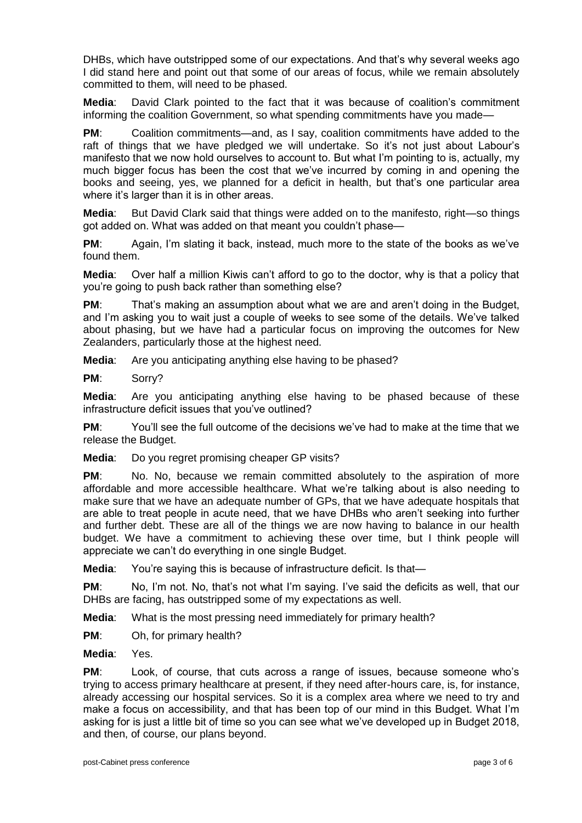DHBs, which have outstripped some of our expectations. And that's why several weeks ago I did stand here and point out that some of our areas of focus, while we remain absolutely committed to them, will need to be phased.

**Media**: David Clark pointed to the fact that it was because of coalition's commitment informing the coalition Government, so what spending commitments have you made—

**PM:** Coalition commitments—and, as I say, coalition commitments have added to the raft of things that we have pledged we will undertake. So it's not just about Labour's manifesto that we now hold ourselves to account to. But what I'm pointing to is, actually, my much bigger focus has been the cost that we've incurred by coming in and opening the books and seeing, yes, we planned for a deficit in health, but that's one particular area where it's larger than it is in other areas.

**Media**: But David Clark said that things were added on to the manifesto, right—so things got added on. What was added on that meant you couldn't phase—

**PM:** Again, I'm slating it back, instead, much more to the state of the books as we've found them.

**Media**: Over half a million Kiwis can't afford to go to the doctor, why is that a policy that you're going to push back rather than something else?

**PM**: That's making an assumption about what we are and aren't doing in the Budget, and I'm asking you to wait just a couple of weeks to see some of the details. We've talked about phasing, but we have had a particular focus on improving the outcomes for New Zealanders, particularly those at the highest need.

**Media**: Are you anticipating anything else having to be phased?

**PM**: Sorry?

**Media**: Are you anticipating anything else having to be phased because of these infrastructure deficit issues that you've outlined?

**PM**: You'll see the full outcome of the decisions we've had to make at the time that we release the Budget.

**Media**: Do you regret promising cheaper GP visits?

**PM:** No. No, because we remain committed absolutely to the aspiration of more affordable and more accessible healthcare. What we're talking about is also needing to make sure that we have an adequate number of GPs, that we have adequate hospitals that are able to treat people in acute need, that we have DHBs who aren't seeking into further and further debt. These are all of the things we are now having to balance in our health budget. We have a commitment to achieving these over time, but I think people will appreciate we can't do everything in one single Budget.

**Media**: You're saying this is because of infrastructure deficit. Is that—

**PM**: No, I'm not. No, that's not what I'm saying. I've said the deficits as well, that our DHBs are facing, has outstripped some of my expectations as well.

**Media**: What is the most pressing need immediately for primary health?

**PM:** Oh, for primary health?

**Media**: Yes.

**PM**: Look, of course, that cuts across a range of issues, because someone who's trying to access primary healthcare at present, if they need after-hours care, is, for instance, already accessing our hospital services. So it is a complex area where we need to try and make a focus on accessibility, and that has been top of our mind in this Budget. What I'm asking for is just a little bit of time so you can see what we've developed up in Budget 2018, and then, of course, our plans beyond.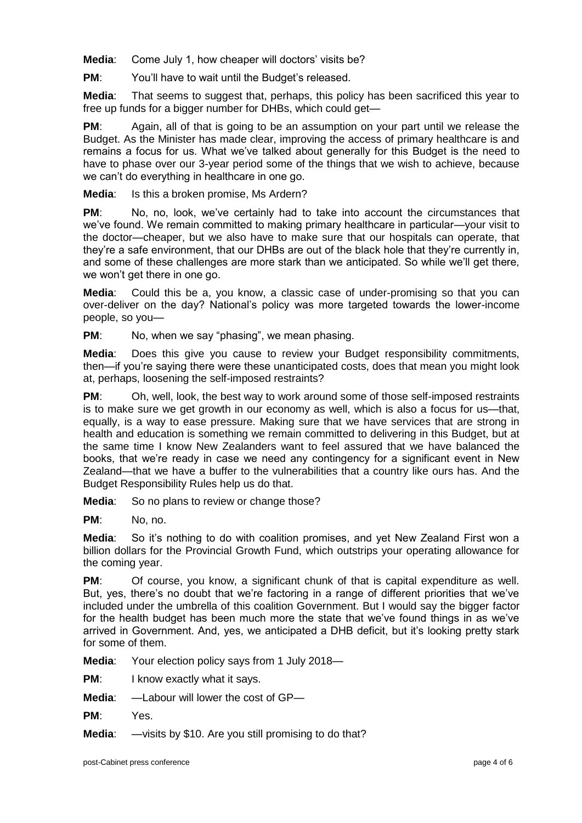**Media**: Come July 1, how cheaper will doctors' visits be?

**PM:** You'll have to wait until the Budget's released.

**Media**: That seems to suggest that, perhaps, this policy has been sacrificed this year to free up funds for a bigger number for DHBs, which could get—

**PM**: Again, all of that is going to be an assumption on your part until we release the Budget. As the Minister has made clear, improving the access of primary healthcare is and remains a focus for us. What we've talked about generally for this Budget is the need to have to phase over our 3-year period some of the things that we wish to achieve, because we can't do everything in healthcare in one go.

**Media**: Is this a broken promise, Ms Ardern?

**PM**: No, no, look, we've certainly had to take into account the circumstances that we've found. We remain committed to making primary healthcare in particular—your visit to the doctor—cheaper, but we also have to make sure that our hospitals can operate, that they're a safe environment, that our DHBs are out of the black hole that they're currently in, and some of these challenges are more stark than we anticipated. So while we'll get there, we won't get there in one go.

**Media**: Could this be a, you know, a classic case of under-promising so that you can over-deliver on the day? National's policy was more targeted towards the lower-income people, so you—

**PM:** No, when we say "phasing", we mean phasing.

**Media**: Does this give you cause to review your Budget responsibility commitments, then—if you're saying there were these unanticipated costs, does that mean you might look at, perhaps, loosening the self-imposed restraints?

**PM**: Oh, well, look, the best way to work around some of those self-imposed restraints is to make sure we get growth in our economy as well, which is also a focus for us—that, equally, is a way to ease pressure. Making sure that we have services that are strong in health and education is something we remain committed to delivering in this Budget, but at the same time I know New Zealanders want to feel assured that we have balanced the books, that we're ready in case we need any contingency for a significant event in New Zealand—that we have a buffer to the vulnerabilities that a country like ours has. And the Budget Responsibility Rules help us do that.

**Media:** So no plans to review or change those?

**PM**: No, no.

**Media**: So it's nothing to do with coalition promises, and yet New Zealand First won a billion dollars for the Provincial Growth Fund, which outstrips your operating allowance for the coming year.

**PM:** Of course, you know, a significant chunk of that is capital expenditure as well. But, yes, there's no doubt that we're factoring in a range of different priorities that we've included under the umbrella of this coalition Government. But I would say the bigger factor for the health budget has been much more the state that we've found things in as we've arrived in Government. And, yes, we anticipated a DHB deficit, but it's looking pretty stark for some of them.

**Media**: Your election policy says from 1 July 2018—

**PM:** I know exactly what it says.

**Media**: —Labour will lower the cost of GP—

**PM**: Yes.

**Media**: —visits by \$10. Are you still promising to do that?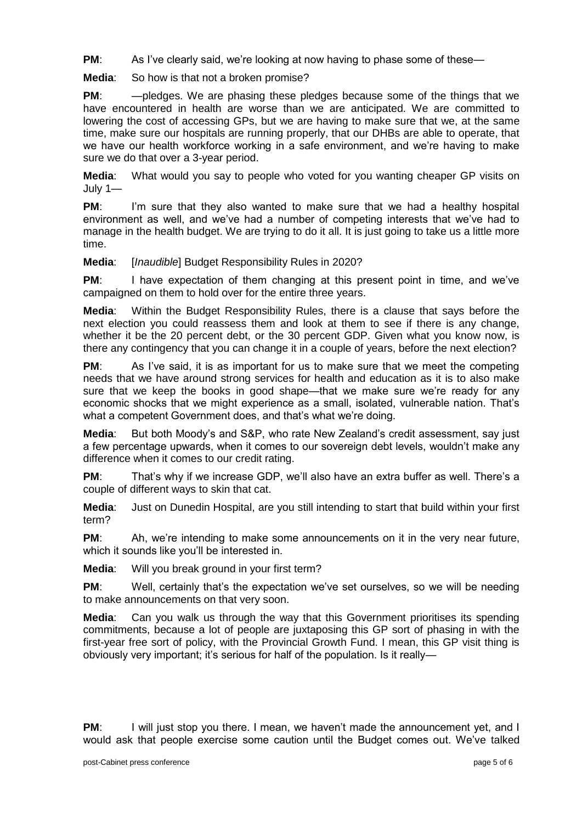**PM:** As I've clearly said, we're looking at now having to phase some of these-

**Media**: So how is that not a broken promise?

**PM:** — pledges. We are phasing these pledges because some of the things that we have encountered in health are worse than we are anticipated. We are committed to lowering the cost of accessing GPs, but we are having to make sure that we, at the same time, make sure our hospitals are running properly, that our DHBs are able to operate, that we have our health workforce working in a safe environment, and we're having to make sure we do that over a 3-year period.

**Media**: What would you say to people who voted for you wanting cheaper GP visits on July 1—

**PM:** I'm sure that they also wanted to make sure that we had a healthy hospital environment as well, and we've had a number of competing interests that we've had to manage in the health budget. We are trying to do it all. It is just going to take us a little more time.

**Media**: [*Inaudible*] Budget Responsibility Rules in 2020?

**PM:** I have expectation of them changing at this present point in time, and we've campaigned on them to hold over for the entire three years.

**Media**: Within the Budget Responsibility Rules, there is a clause that says before the next election you could reassess them and look at them to see if there is any change, whether it be the 20 percent debt, or the 30 percent GDP. Given what you know now, is there any contingency that you can change it in a couple of years, before the next election?

**PM:** As I've said, it is as important for us to make sure that we meet the competing needs that we have around strong services for health and education as it is to also make sure that we keep the books in good shape—that we make sure we're ready for any economic shocks that we might experience as a small, isolated, vulnerable nation. That's what a competent Government does, and that's what we're doing.

**Media**: But both Moody's and S&P, who rate New Zealand's credit assessment, say just a few percentage upwards, when it comes to our sovereign debt levels, wouldn't make any difference when it comes to our credit rating.

**PM**: That's why if we increase GDP, we'll also have an extra buffer as well. There's a couple of different ways to skin that cat.

**Media**: Just on Dunedin Hospital, are you still intending to start that build within your first term?

**PM**: Ah, we're intending to make some announcements on it in the very near future, which it sounds like you'll be interested in.

**Media**: Will you break ground in your first term?

**PM:** Well, certainly that's the expectation we've set ourselves, so we will be needing to make announcements on that very soon.

**Media**: Can you walk us through the way that this Government prioritises its spending commitments, because a lot of people are juxtaposing this GP sort of phasing in with the first-year free sort of policy, with the Provincial Growth Fund. I mean, this GP visit thing is obviously very important; it's serious for half of the population. Is it really—

**PM:** I will just stop you there. I mean, we haven't made the announcement yet, and I would ask that people exercise some caution until the Budget comes out. We've talked